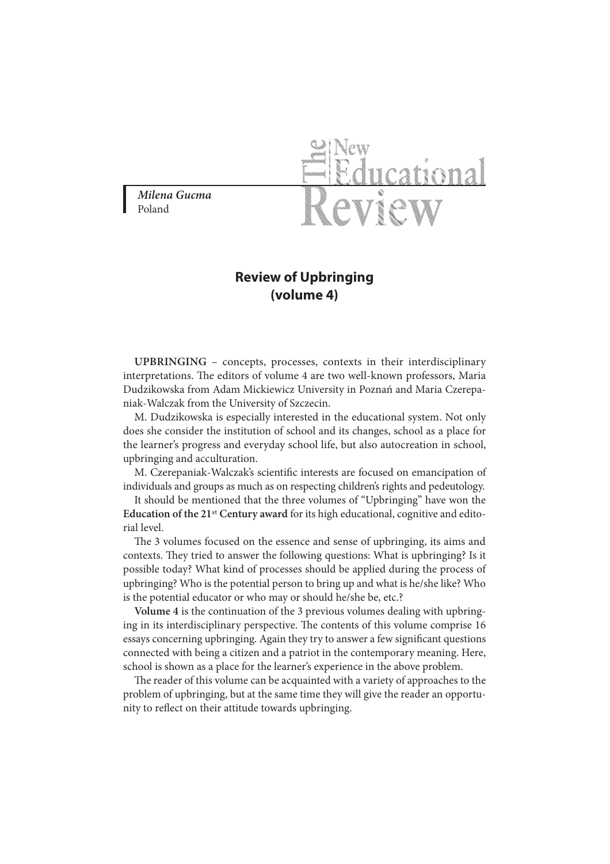**Milena Gucma** Poland



## **Review of Upbringing (volume 4)**

**UPBRINGING** – concepts, processes, contexts in their interdisciplinary interpretations. The editors of volume 4 are two well-known professors, Maria Dudzikowska from Adam Mickiewicz University in Poznań and Maria Czerepaniak-Walczak from the University of Szczecin.

M. Dudzikowska is especially interested in the educational system. Not only does she consider the institution of school and its changes, school as a place for the learner's progress and everyday school life, but also autocreation in school, upbringing and acculturation.

M. Czerepaniak-Walczak's scientific interests are focused on emancipation of individuals and groups as much as on respecting children's rights and pedeutology.

It should be mentioned that the three volumes of "Upbringing" have won the **Education of the 21**st **Century award** for its high educational, cognitive and editorial level.

The 3 volumes focused on the essence and sense of upbringing, its aims and contexts. They tried to answer the following questions: What is upbringing? Is it possible today? What kind of processes should be applied during the process of upbringing? Who is the potential person to bring up and what is he/she like? Who is the potential educator or who may or should he/she be, etc.?

**Volume 4** is the continuation of the 3 previous volumes dealing with upbringing in its interdisciplinary perspective. The contents of this volume comprise 16 essays concerning upbringing. Again they try to answer a few significant questions connected with being a citizen and a patriot in the contemporary meaning. Here, school is shown as a place for the learner's experience in the above problem.

The reader of this volume can be acquainted with a variety of approaches to the problem of upbringing, but at the same time they will give the reader an opportunity to reflect on their attitude towards upbringing.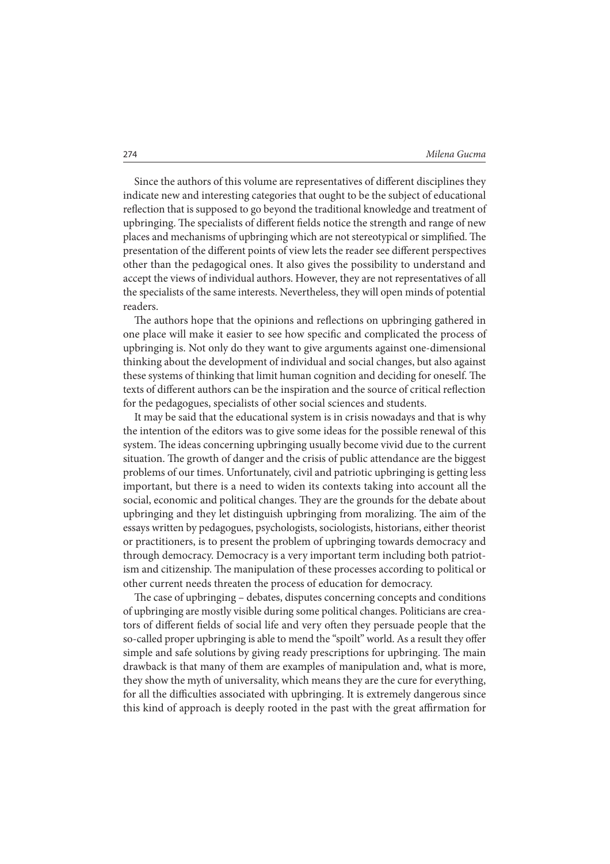Since the authors of this volume are representatives of different disciplines they indicate new and interesting categories that ought to be the subject of educational reflection that is supposed to go beyond the traditional knowledge and treatment of upbringing. The specialists of different fields notice the strength and range of new places and mechanisms of upbringing which are not stereotypical or simplified. The presentation of the different points of view lets the reader see different perspectives other than the pedagogical ones. It also gives the possibility to understand and accept the views of individual authors. However, they are not representatives of all the specialists of the same interests. Nevertheless, they will open minds of potential readers.

The authors hope that the opinions and reflections on upbringing gathered in one place will make it easier to see how specific and complicated the process of upbringing is. Not only do they want to give arguments against one-dimensional thinking about the development of individual and social changes, but also against these systems of thinking that limit human cognition and deciding for oneself. The texts of different authors can be the inspiration and the source of critical reflection for the pedagogues, specialists of other social sciences and students.

It may be said that the educational system is in crisis nowadays and that is why the intention of the editors was to give some ideas for the possible renewal of this system. The ideas concerning upbringing usually become vivid due to the current situation. The growth of danger and the crisis of public attendance are the biggest problems of our times. Unfortunately, civil and patriotic upbringing is getting less important, but there is a need to widen its contexts taking into account all the social, economic and political changes. They are the grounds for the debate about upbringing and they let distinguish upbringing from moralizing. The aim of the essays written by pedagogues, psychologists, sociologists, historians, either theorist or practitioners, is to present the problem of upbringing towards democracy and through democracy. Democracy is a very important term including both patriotism and citizenship. The manipulation of these processes according to political or other current needs threaten the process of education for democracy.

The case of upbringing – debates, disputes concerning concepts and conditions of upbringing are mostly visible during some political changes. Politicians are creators of different fields of social life and very often they persuade people that the so-called proper upbringing is able to mend the "spoilt" world. As a result they offer simple and safe solutions by giving ready prescriptions for upbringing. The main drawback is that many of them are examples of manipulation and, what is more, they show the myth of universality, which means they are the cure for everything, for all the difficulties associated with upbringing. It is extremely dangerous since this kind of approach is deeply rooted in the past with the great affirmation for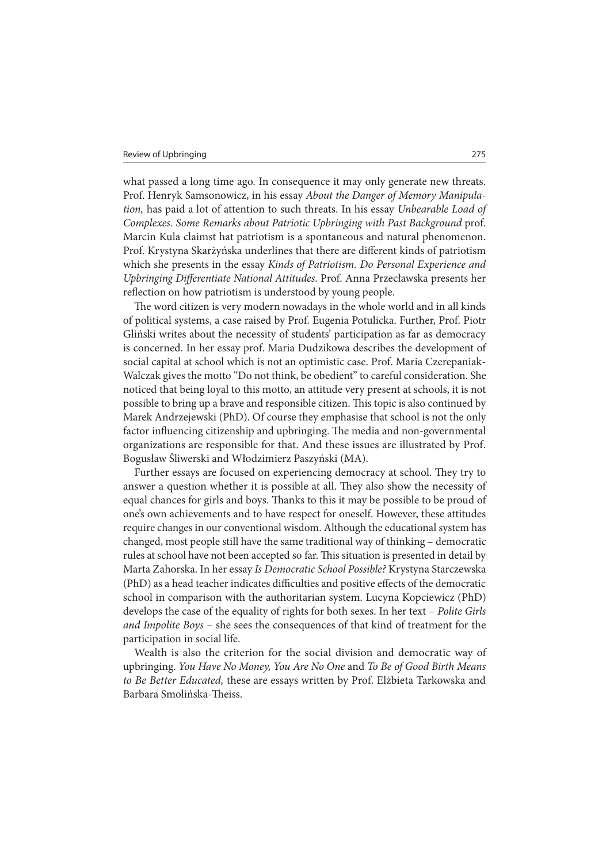what passed a long time ago. In consequence it may only generate new threats. Prof. Henryk Samsonowicz, in his essay About the Danger of Memory Manipulation, has paid a lot of attention to such threats. In his essay Unbearable Load of Complexes. Some Remarks about Patriotic Upbringing with Past Background prof. Marcin Kula claimst hat patriotism is a spontaneous and natural phenomenon. Prof. Krystyna Skarżyńska underlines that there are different kinds of patriotism which she presents in the essay Kinds of Patriotism. Do Personal Experience and Upbringing Differentiate National Attitudes. Prof. Anna Przecławska presents her reflection on how patriotism is understood by young people.

The word citizen is very modern nowadays in the whole world and in all kinds of political systems, a case raised by Prof. Eugenia Potulicka. Further, Prof. Piotr Gliński writes about the necessity of students' participation as far as democracy is concerned. In her essay prof. Maria Dudzikowa describes the development of social capital at school which is not an optimistic case. Prof. Maria Czerepaniak-Walczak gives the motto "Do not think, be obedient" to careful consideration. She noticed that being loyal to this motto, an attitude very present at schools, it is not possible to bring up a brave and responsible citizen. This topic is also continued by Marek Andrzejewski (PhD). Of course they emphasise that school is not the only factor influencing citizenship and upbringing. The media and non-governmental organizations are responsible for that. And these issues are illustrated by Prof. Bogusław Śliwerski and Włodzimierz Paszyński (MA).

Further essays are focused on experiencing democracy at school. They try to answer a question whether it is possible at all. They also show the necessity of equal chances for girls and boys. Thanks to this it may be possible to be proud of one's own achievements and to have respect for oneself. However, these attitudes require changes in our conventional wisdom. Although the educational system has changed, most people still have the same traditional way of thinking – democratic rules at school have not been accepted so far. This situation is presented in detail by Marta Zahorska. In her essay Is Democratic School Possible? Krystyna Starczewska (PhD) as a head teacher indicates difficulties and positive effects of the democratic school in comparison with the authoritarian system. Lucyna Kopciewicz (PhD) develops the case of the equality of rights for both sexes. In her text – Polite Girls and Impolite Boys – she sees the consequences of that kind of treatment for the participation in social life.

Wealth is also the criterion for the social division and democratic way of upbringing. You Have No Money, You Are No One and To Be of Good Birth Means to Be Better Educated, these are essays written by Prof. Elżbieta Tarkowska and Barbara Smolińska-Theiss.